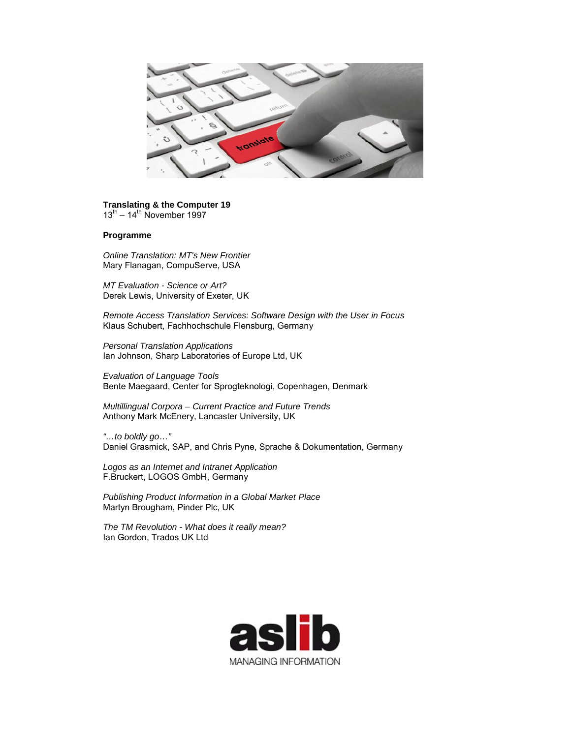

## **Translating & the Computer 19**  $13^{th}$  – 14<sup>th</sup> November 1997

## **Programme**

*Online Translation: MT's New Frontier* Mary Flanagan, CompuServe, USA

*MT Evaluation - Science or Art?* Derek Lewis, University of Exeter, UK

*Remote Access Translation Services: Software Design with the User in Focus* Klaus Schubert, Fachhochschule Flensburg, Germany

*Personal Translation Applications* Ian Johnson, Sharp Laboratories of Europe Ltd, UK

*Evaluation of Language Tools* Bente Maegaard, Center for Sprogteknologi, Copenhagen, Denmark

*Multillingual Corpora – Current Practice and Future Trends* Anthony Mark McEnery, Lancaster University, UK

*"…to boldly go…"* Daniel Grasmick, SAP, and Chris Pyne, Sprache & Dokumentation, Germany

*Logos as an Internet and Intranet Application* F.Bruckert, LOGOS GmbH, Germany

*Publishing Product Information in a Global Market Place* Martyn Brougham, Pinder Рlс, UK

*The TM Revolution - What does it really mean?* Ian Gordon, Trados UK Ltd